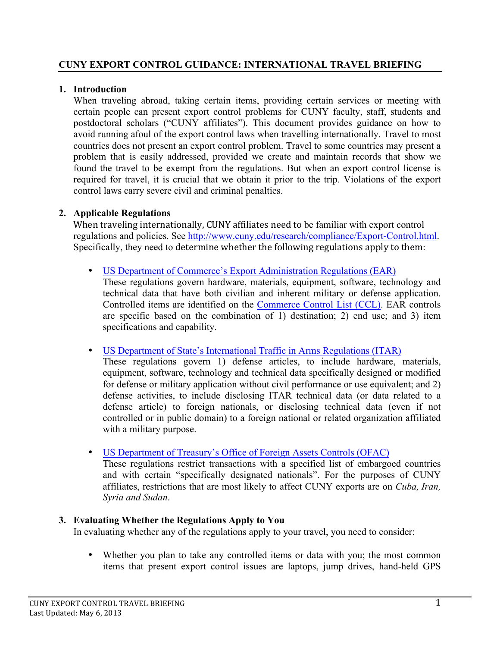## **1. Introduction**

 certain people can present export control problems for CUNY faculty, staff, students and postdoctoral scholars ("CUNY affiliates"). This document provides guidance on how to avoid running afoul of the export control laws when travelling internationally. Travel to most countries does not present an export control problem. Travel to some countries may present a problem that is easily addressed, provided we create and maintain records that show we found the travel to be exempt from the regulations. But when an export control license is required for travel, it is crucial that we obtain it prior to the trip. Violations of the export control laws carry severe civil and criminal penalties. When traveling abroad, taking certain items, providing certain services or meeting with

## **2. Applicable Regulations**

regulations and policies. Se[e http://www.cuny.edu/research/compliance/Export-Control.html.](http://www.cuny.edu/research/compliance/Export-Control.html) Specifically, they need to determine whether the following regulations apply to them: When traveling internationally, CUNY affiliates need to be familiar with export control

• [US Department of Commerce's Export Administration Regulations \(EAR\)](http://www.ecfr.gov/cgi-bin/text-idx?sid=256c971f2e9cb547e32ac24ffc861acb&c=ecfr&tpl=/ecfrbrowse/Title15/15cfrv2_02.tpl#730) 

 These regulations govern hardware, materials, equipment, software, technology and technical data that have both civilian and inherent military or defense application. Controlled items are identified on the [Commerce Control List \(CCL\).](http://www.ecfr.gov/cgi-bin/text-idx?c=ecfr&tpl=/ecfrbrowse/Title15/15cfr738_main_02.tpl) EAR controls are specific based on the combination of 1) destination; 2) end use; and 3) item specifications and capability.

• [US Department of State's International Traffic in Arms Regulations \(ITAR\)](http://www.pmddtc.state.gov/regulations_laws/itar_official.html) 

 These regulations govern 1) defense articles, to include hardware, materials, equipment, software, technology and technical data specifically designed or modified for defense or military application without civil performance or use equivalent; and 2) defense activities, to include disclosing ITAR technical data (or data related to a defense article) to foreign nationals, or disclosing technical data (even if not with a military purpose. controlled or in public domain) to a foreign national or related organization affiliated

• [US Department of Treasury's Office of Foreign Assets Controls \(OFAC\)](http://www.treasury.gov/about/organizational-structure/offices/Pages/Office-of-Foreign-Assets-Control.aspx) 

 These regulations restrict transactions with a specified list of embargoed countries and with certain "specifically designated nationals". For the purposes of CUNY affiliates, restrictions that are most likely to affect CUNY exports are on *Cuba, Iran, Syria and Sudan*.

## **3. Evaluating Whether the Regulations Apply to You**

In evaluating whether any of the regulations apply to your travel, you need to consider:

 • Whether you plan to take any controlled items or data with you; the most common items that present export control issues are laptops, jump drives, hand-held GPS